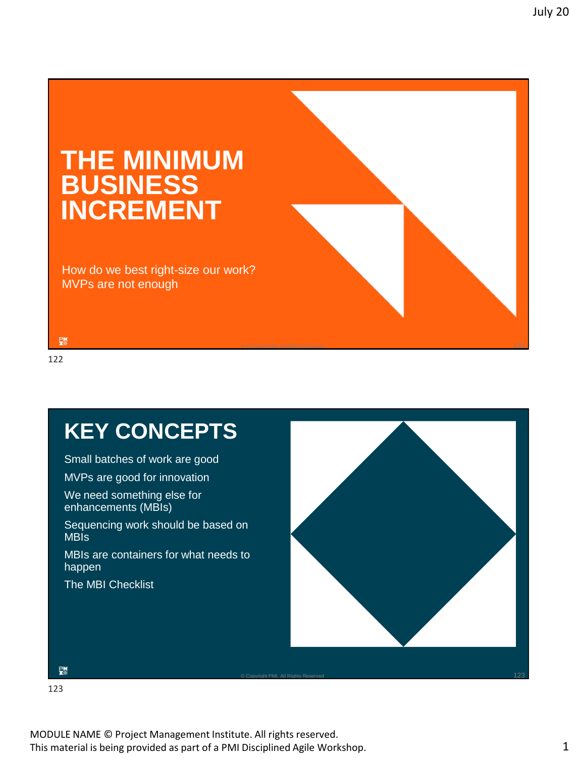# **THE MINIMUM BUSINESS INCREMENT**

How do we best right-size our work? MVPs are not enough



鸚

122

# **KEY CONCEPTS**

Small batches of work are good

MVPs are good for innovation

We need something else for enhancements (MBIs)

Sequencing work should be based on MBIs

MBIs are containers for what needs to happen

The MBI Checklist



 $\circ$  Copyright PMI. All Rights Reserved 123  $\,$ 

123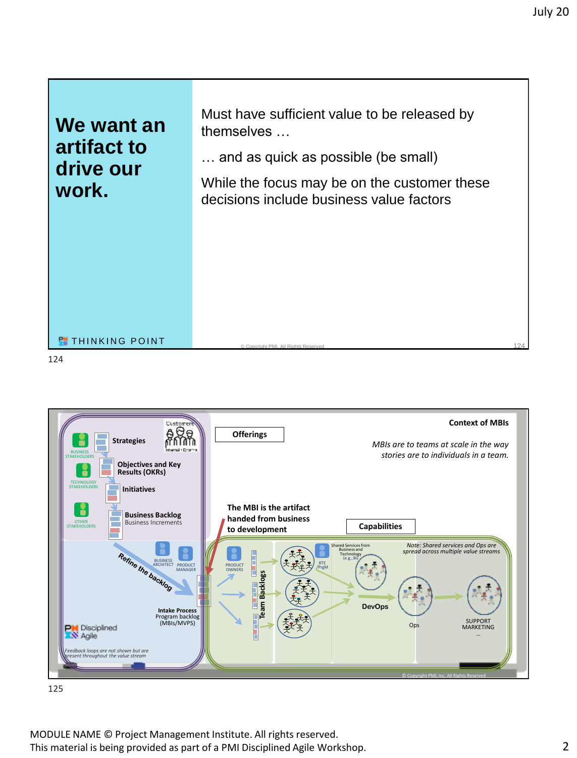

BUSINESS ARCHITECT RTE PRODUCT MANAGER PRODUCT /PrgM OWNERS eam Backlogs **Team Backlogs DevOps Intake Process** Program backlog (MBIs/MVPS) SUPPORT MARKETING **PM** Disciplined **Ops** … *Feedback loops are not shown but are present throughout the value stream* © Copyright PMI, Inc. All Rights Reserved

125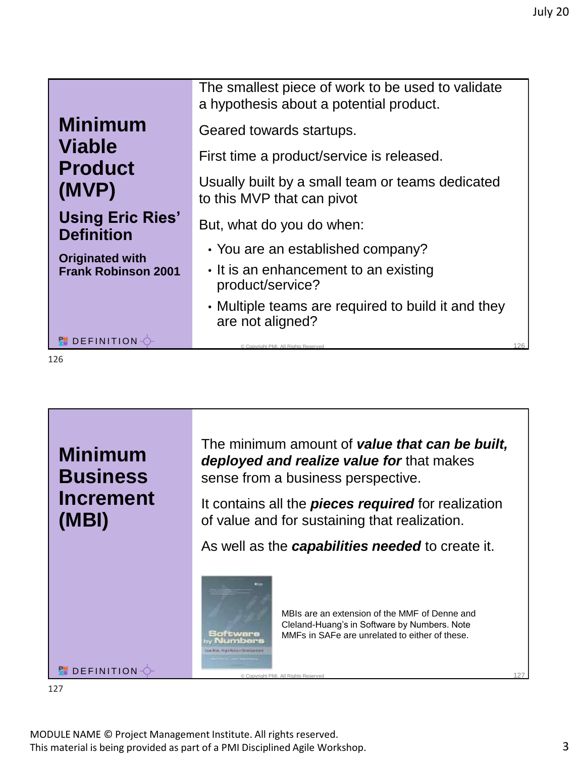|                                              | The smallest piece of work to be used to validate<br>a hypothesis about a potential product. |
|----------------------------------------------|----------------------------------------------------------------------------------------------|
| <b>Minimum</b>                               | Geared towards startups.                                                                     |
| <b>Viable</b><br><b>Product</b>              | First time a product/service is released.                                                    |
| (MVP)                                        | Usually built by a small team or teams dedicated<br>to this MVP that can pivot               |
| <b>Using Eric Ries'</b><br><b>Definition</b> | But, what do you do when:                                                                    |
| <b>Originated with</b>                       | • You are an established company?                                                            |
| <b>Frank Robinson 2001</b>                   | • It is an enhancement to an existing<br>product/service?                                    |
|                                              | • Multiple teams are required to build it and they<br>are not aligned?                       |
| <b>PU</b> DEFINITION-                        | 126<br>© Copyright PMI. All Rights Reserved                                                  |
| L26                                          |                                                                                              |



**PM** DEFINITION  $\Diamond$ 

The minimum amount of *value that can be built, deployed and realize value for* that makes sense from a business perspective.

It contains all the *pieces required* for realization of value and for sustaining that realization.

As well as the *capabilities needed* to create it.



127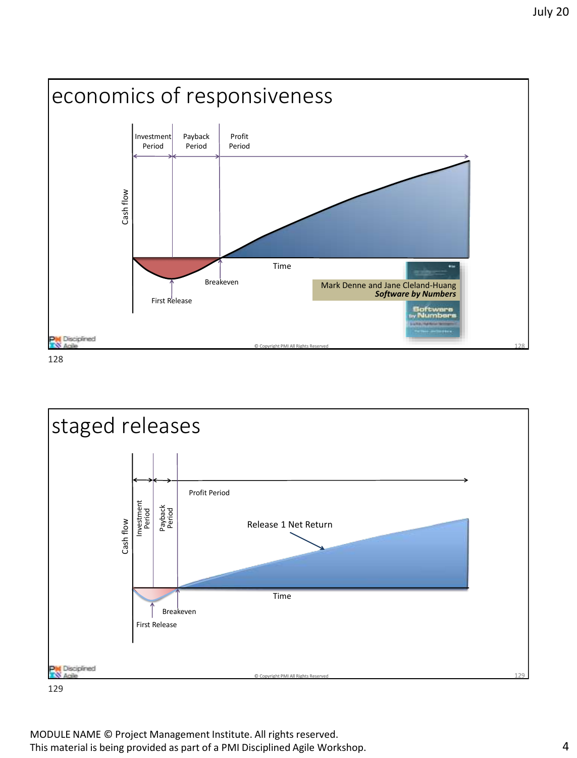



129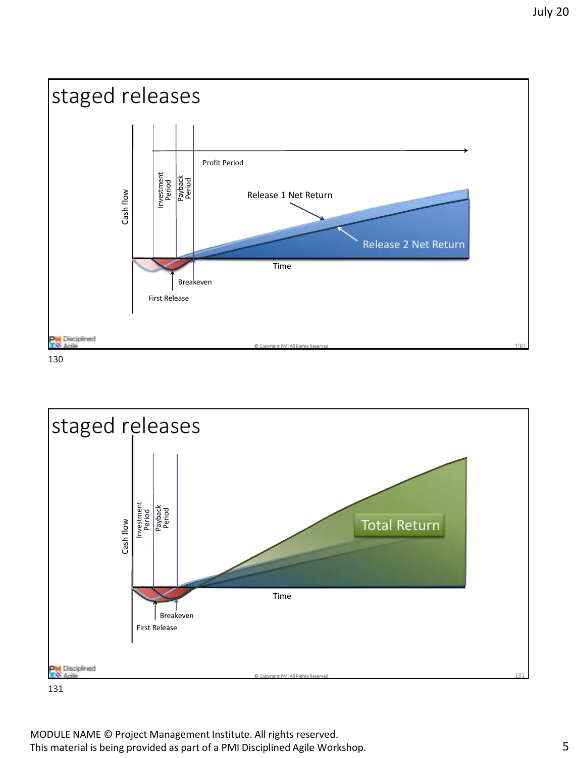



131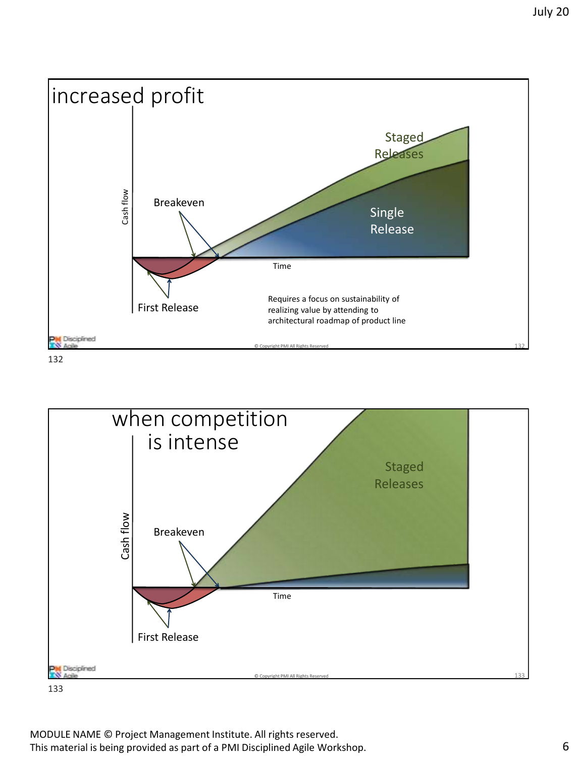

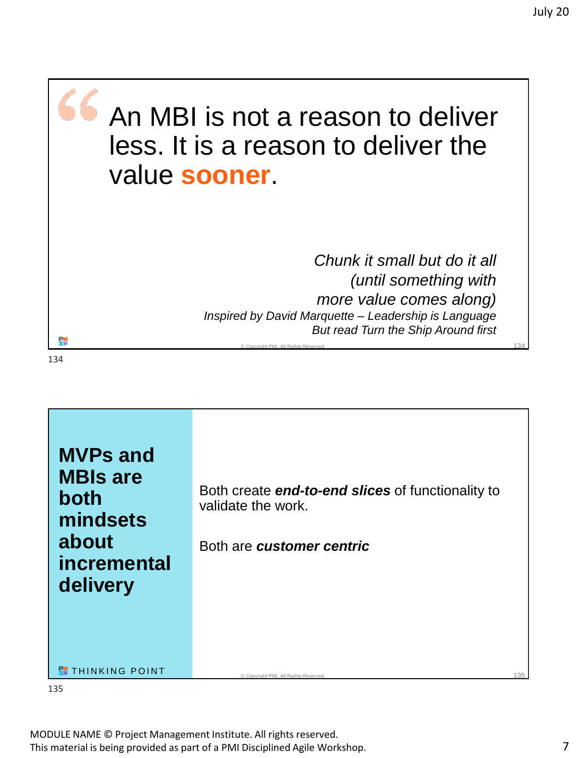

*Chunk it small but do it all (until something with more value comes along) Inspired by David Marquette – Leadership is Language But read Turn the Ship Around first*

 $\circ$  Copyright PMI. All Rights Reserved 134  $\,$ 

ęн

134



135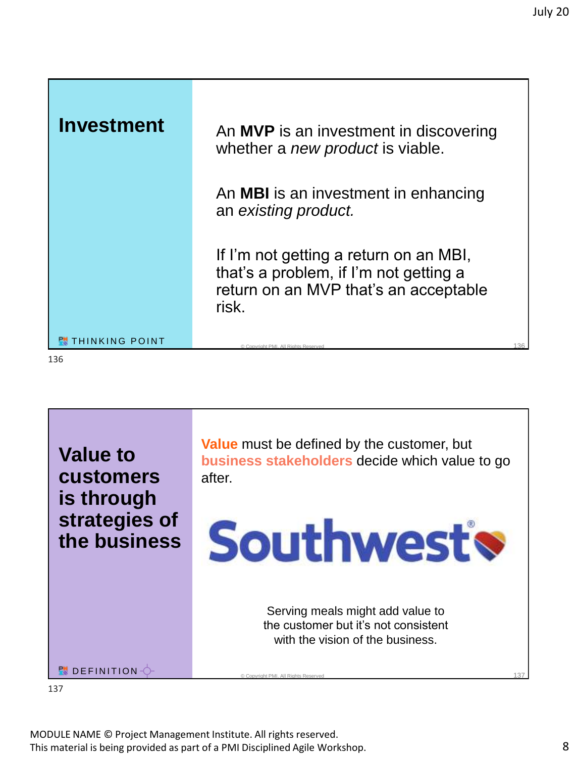| <b>Investment</b>        | An MVP is an investment in discovering<br>whether a new product is viable.                                                         |     |
|--------------------------|------------------------------------------------------------------------------------------------------------------------------------|-----|
|                          | An <b>MBI</b> is an investment in enhancing<br>an existing product.                                                                |     |
|                          | If I'm not getting a return on an MBI,<br>that's a problem, if I'm not getting a<br>return on an MVP that's an acceptable<br>risk. |     |
| <b>RU</b> THINKING POINT | © Copyright PML All Rights Reserved                                                                                                | 136 |
| 136                      |                                                                                                                                    |     |

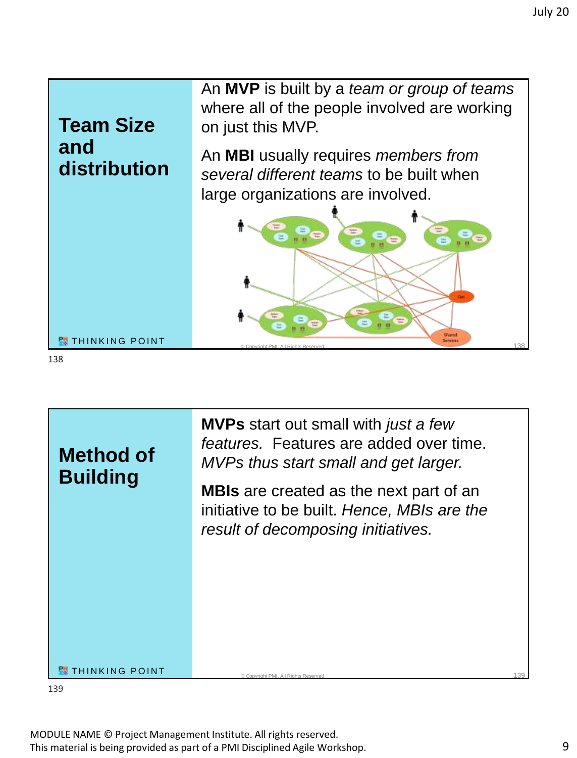



**MVPs** start out small with *just a few features.* Features are added over time. *MVPs thus start small and get larger.*

**MBIs** are created as the next part of an initiative to be built. *Hence, MBIs are the result of decomposing initiatives.*

#### **PU** THINKING POINT

139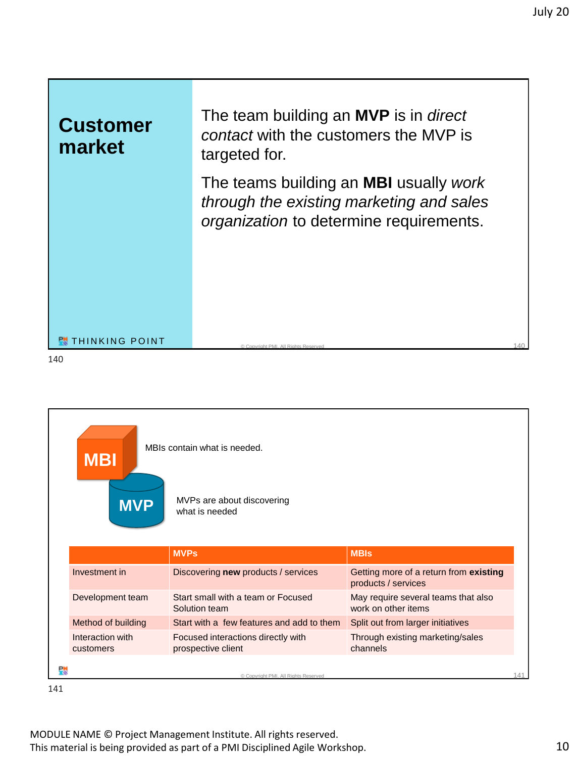### **Customer market**

The team building an **MVP** is in *direct contact* with the customers the MVP is targeted for.

The teams building an **MBI** usually *work through the existing marketing and sales organization* to determine requirements.

#### **PM** THINKING POINT

140

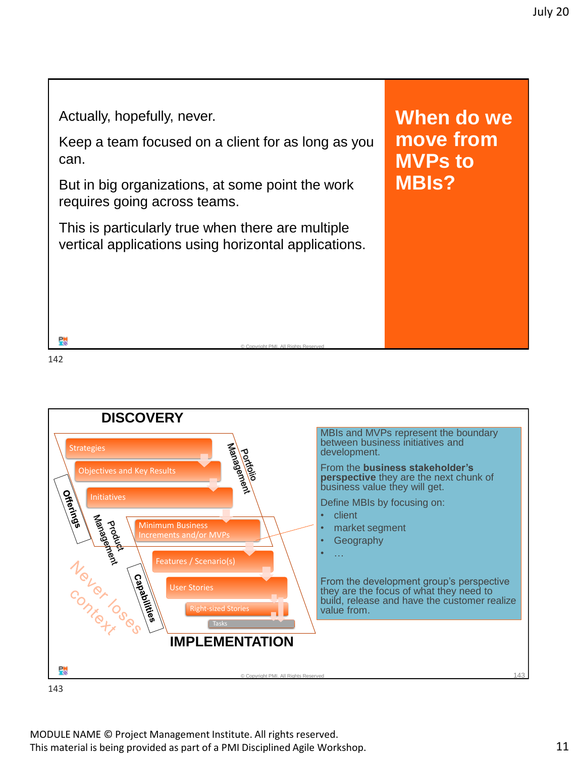Actually, hopefully, never.

Keep a team focused on a client for as long as you can.

But in big organizations, at some point the work requires going across teams.

This is particularly true when there are multiple vertical applications using horizontal applications. **When do we move from MVPs to MBIs?**

© Copyright PMI. All Rights Reserved 142

댒 142

**DISCOVERY** MBIs and MVPs represent the boundary portfolio between business initiatives and **Strategies** development. From the **business stakeholder's**  Objectives and Key Results **perspective** they are the next chunk of business value they will get. **Offerings** Initiatives Define MBIs by focusing on: **Hanagement** • client Poold<br>Proba Minimum Business • market segment **Increments and/or MVPs Geography** Novor OS PARAGO • … Features / Scenario(s)<br>
User Stories<br>
User Stories<br>
Right-sized Stories From the development group's perspective User Stories they are the focus of what they need to build, release and have the customer realize Right-sized Stories value from. Tasks **IMPLEMENTATION** © Copyright PMI. All Rights Reserved 143

143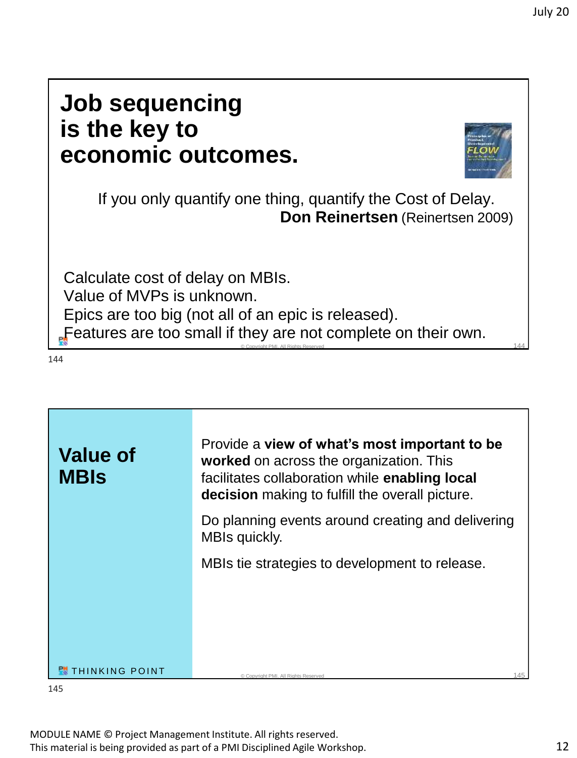# **Job sequencing is the key to economic outcomes.**



If you only quantify one thing, quantify the Cost of Delay. **Don Reinertsen** (Reinertsen 2009)

 $\circ$  Copyright PMI. All Rights Reserved 144  $\,$ 

Calculate cost of delay on MBIs. Value of MVPs is unknown. Epics are too big (not all of an epic is released). Features are too small if they are not complete on their own.

144

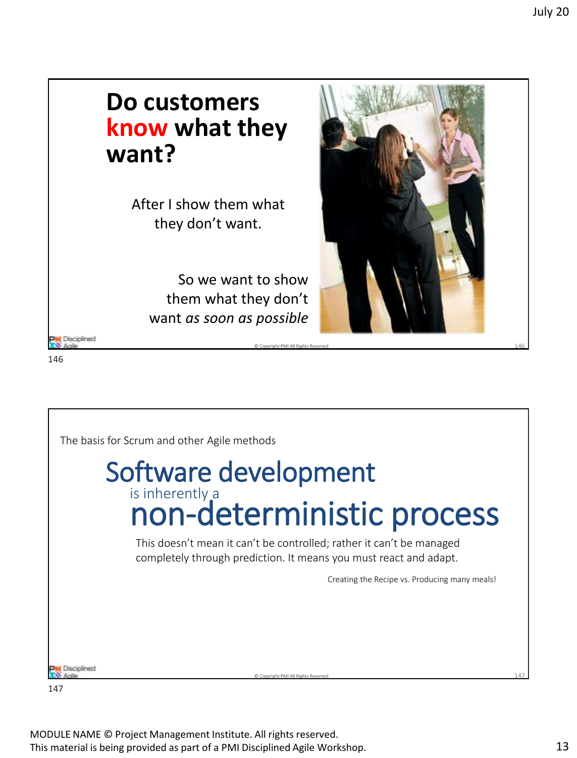### **Do customers know what they want?**

After I show them what they don't want.

> So we want to show them what they don't want *as soon as possible*





**M** Disciplined



147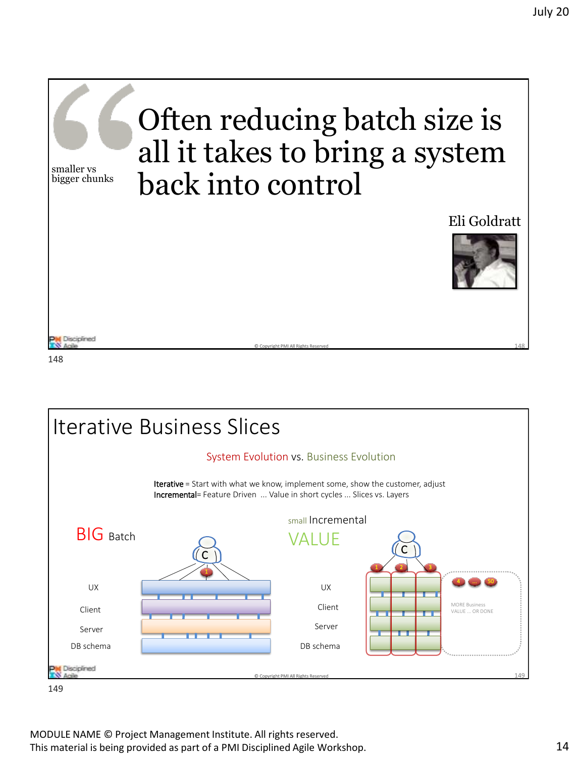

© Copyright PMI All Rights Reserved 148



148

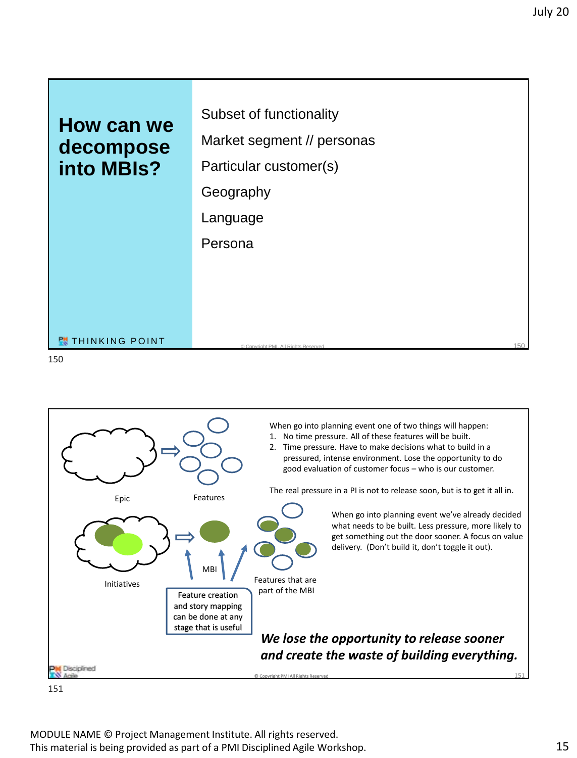



151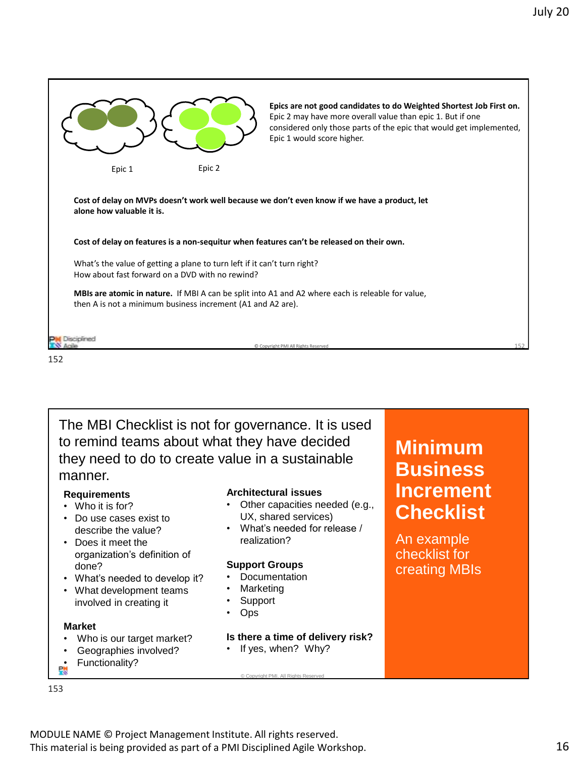

The MBI Checklist is not for governance. It is used to remind teams about what they have decided they need to do to create value in a sustainable manner.

#### **Requirements**

- Who it is for?
- Do use cases exist to describe the value?
- Does it meet the organization's definition of done?
- What's needed to develop it?
- What development teams involved in creating it

#### **Market**

- Who is our target market?
- Geographies involved?
- Functionality?

#### 153

#### **Architectural issues**

- Other capacities needed (e.g., UX, shared services)
- What's needed for release / realization?

#### **Support Groups**

- **Documentation**
- **Marketing**
- **Support**
- Ops

#### **Is there a time of delivery risk?**

If yes, when? Why?

### MODULE NAME © Project Management Institute. All rights reserved. This material is being provided as part of a PMI Disciplined Agile Workshop. 16

### **Minimum Business Increment Checklist**

An example checklist for creating MBIs

© Copyright PMI. All Rights Reserved 153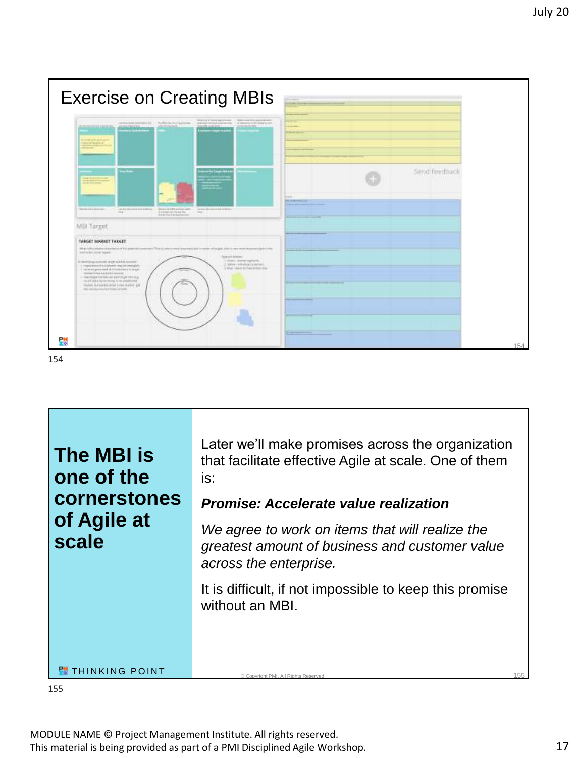